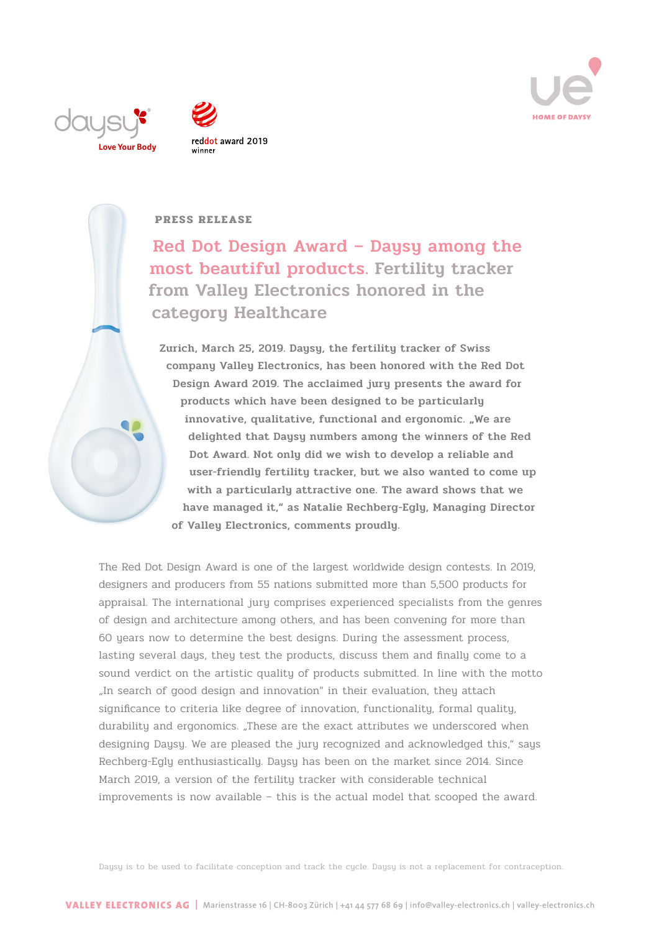





### **PRESS RELEASE**

Red Dot Design Award – Daysy among the most beautiful products. Fertility tracker from Valley Electronics honored in the category Healthcare

Zurich, March 25, 2019. Daysy, the fertility tracker of Swiss company Valley Electronics, has been honored with the Red Dot Design Award 2019. The acclaimed jury presents the award for products which have been designed to be particularly innovative, qualitative, functional and ergonomic. "We are delighted that Daysy numbers among the winners of the Red Dot Award. Not only did we wish to develop a reliable and user-friendly fertility tracker, but we also wanted to come up with a particularly attractive one. The award shows that we have managed it," as Natalie Rechberg-Egly, Managing Director of Valley Electronics, comments proudly.

The Red Dot Design Award is one of the largest worldwide design contests. In 2019, designers and producers from 55 nations submitted more than 5,500 products for appraisal. The international jury comprises experienced specialists from the genres of design and architecture among others, and has been convening for more than 60 years now to determine the best designs. During the assessment process, lasting several days, they test the products, discuss them and finally come to a sound verdict on the artistic quality of products submitted. In line with the motto "In search of good design and innovation" in their evaluation, they attach significance to criteria like degree of innovation, functionality, formal quality, durability and ergonomics. "These are the exact attributes we underscored when designing Daysy. We are pleased the jury recognized and acknowledged this," says Rechberg-Egly enthusiastically. Daysy has been on the market since 2014. Since March 2019, a version of the fertility tracker with considerable technical improvements is now available – this is the actual model that scooped the award.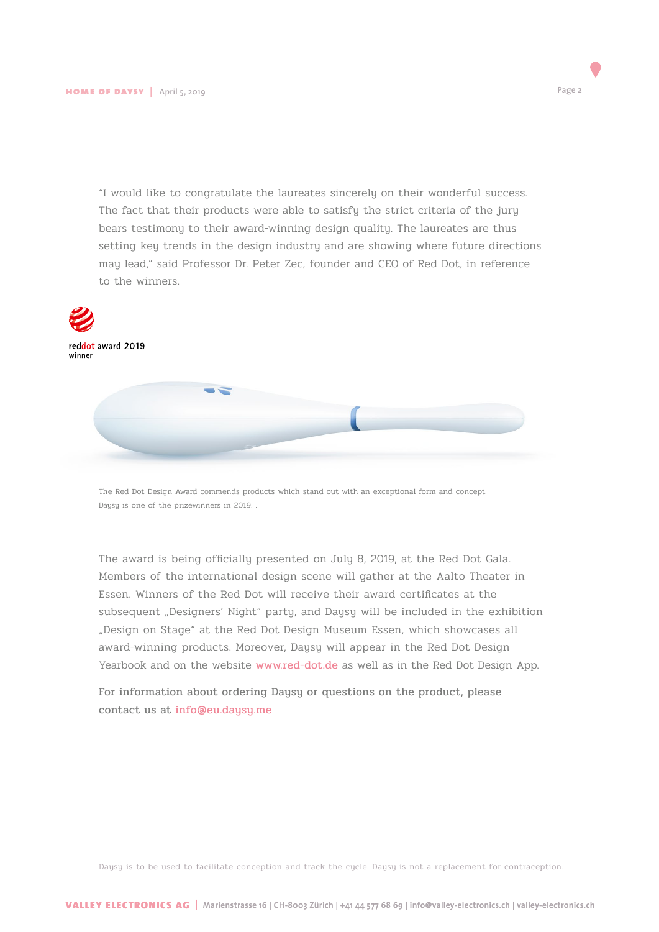"I would like to congratulate the laureates sincerely on their wonderful success. The fact that their products were able to satisfy the strict criteria of the jury bears testimony to their award-winning design quality. The laureates are thus setting key trends in the design industry and are showing where future directions may lead," said Professor Dr. Peter Zec, founder and CEO of Red Dot, in reference to the winners.

**Page 2**



The Red Dot Design Award commends products which stand out with an exceptional form and concept. Daysy is one of the prizewinners in 2019. .

The award is being officially presented on July 8, 2019, at the Red Dot Gala. Members of the international design scene will gather at the Aalto Theater in Essen. Winners of the Red Dot will receive their award certificates at the subsequent "Designers' Night" party, and Daysy will be included in the exhibition "Design on Stage" at the Red Dot Design Museum Essen, which showcases all award-winning products. Moreover, Daysy will appear in the Red Dot Design Yearbook and on the website www.red-dot.de as well as in the Red Dot Design App.

For information about ordering Daysy or questions on the product, please contact us at info@eu.daysy.me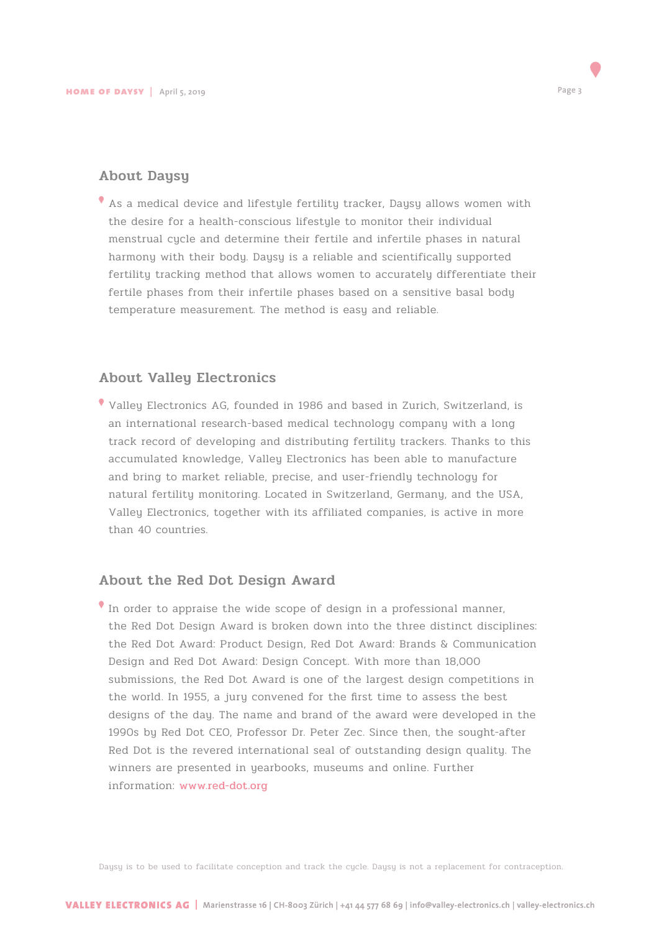

# About Daysy

As a medical device and lifestyle fertility tracker, Daysy allows women with the desire for a health-conscious lifestyle to monitor their individual menstrual cycle and determine their fertile and infertile phases in natural harmony with their body. Daysy is a reliable and scientifically supported fertility tracking method that allows women to accurately differentiate their fertile phases from their infertile phases based on a sensitive basal body temperature measurement. The method is easy and reliable.

# About Valley Electronics

Valley Electronics AG, founded in 1986 and based in Zurich, Switzerland, is an international research-based medical technology company with a long track record of developing and distributing fertility trackers. Thanks to this accumulated knowledge, Valley Electronics has been able to manufacture and bring to market reliable, precise, and user-friendly technology for natural fertility monitoring. Located in Switzerland, Germany, and the USA, Valley Electronics, together with its affiliated companies, is active in more than 40 countries.

# About the Red Dot Design Award

In order to appraise the wide scope of design in a professional manner, the Red Dot Design Award is broken down into the three distinct disciplines: the Red Dot Award: Product Design, Red Dot Award: Brands & Communication Design and Red Dot Award: Design Concept. With more than 18,000 submissions, the Red Dot Award is one of the largest design competitions in the world. In 1955, a jury convened for the first time to assess the best designs of the day. The name and brand of the award were developed in the 1990s by Red Dot CEO, Professor Dr. Peter Zec. Since then, the sought-after Red Dot is the revered international seal of outstanding design quality. The winners are presented in yearbooks, museums and online. Further information: www.red-dot.org